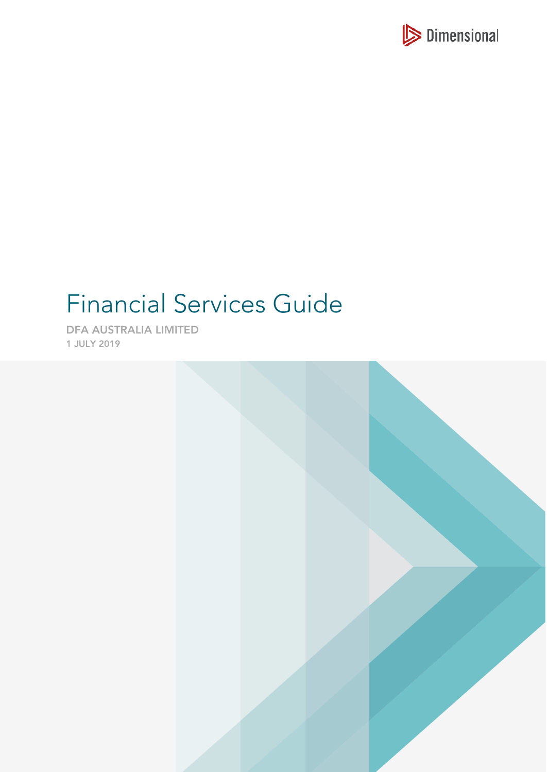

# Financial Services Guide

DFA AUSTRALIA LIMITED 1 JULY 2019

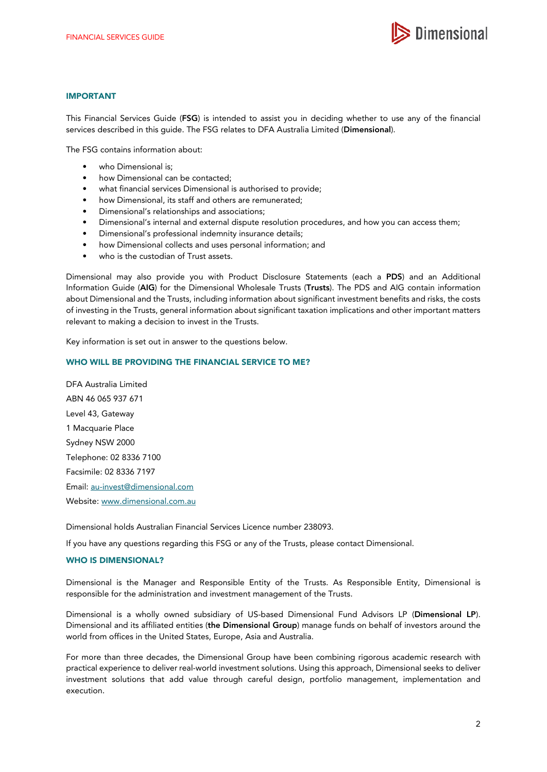

#### IMPORTANT

This Financial Services Guide (FSG) is intended to assist you in deciding whether to use any of the financial services described in this guide. The FSG relates to DFA Australia Limited (Dimensional).

The FSG contains information about:

- who Dimensional is:
- how Dimensional can be contacted:
- what financial services Dimensional is authorised to provide;
- how Dimensional, its staff and others are remunerated;
- Dimensional's relationships and associations;
- Dimensional's internal and external dispute resolution procedures, and how you can access them;
- Dimensional's professional indemnity insurance details;
- how Dimensional collects and uses personal information; and
- who is the custodian of Trust assets.

Dimensional may also provide you with Product Disclosure Statements (each a PDS) and an Additional Information Guide (AIG) for the Dimensional Wholesale Trusts (Trusts). The PDS and AIG contain information about Dimensional and the Trusts, including information about significant investment benefits and risks, the costs of investing in the Trusts, general information about significant taxation implications and other important matters relevant to making a decision to invest in the Trusts.

Key information is set out in answer to the questions below.

### WHO WILL BE PROVIDING THE FINANCIAL SERVICE TO ME?

DFA Australia Limited ABN 46 065 937 671 Level 43, Gateway 1 Macquarie Place Sydney NSW 2000 Telephone: 02 8336 7100 Facsimile: 02 8336 7197 Email: [au-invest@dimensional.com](mailto:au-invest@dimensional.com) Website: [www.dimensional.com.au](http://www.dimensional.com.au/)

Dimensional holds Australian Financial Services Licence number 238093.

If you have any questions regarding this FSG or any of the Trusts, please contact Dimensional.

## WHO IS DIMENSIONAL?

Dimensional is the Manager and Responsible Entity of the Trusts. As Responsible Entity, Dimensional is responsible for the administration and investment management of the Trusts.

Dimensional is a wholly owned subsidiary of US-based Dimensional Fund Advisors LP (Dimensional LP). Dimensional and its affiliated entities (the Dimensional Group) manage funds on behalf of investors around the world from offices in the United States, Europe, Asia and Australia.

For more than three decades, the Dimensional Group have been combining rigorous academic research with practical experience to deliver real-world investment solutions. Using this approach, Dimensional seeks to deliver investment solutions that add value through careful design, portfolio management, implementation and execution.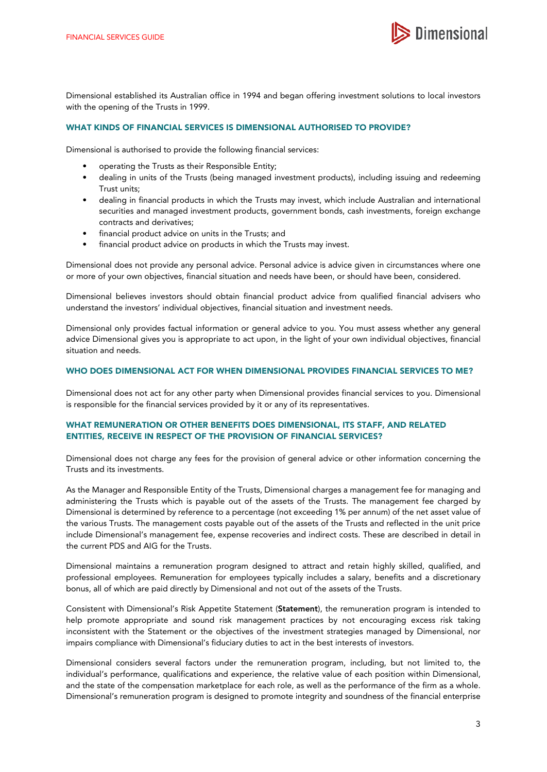

Dimensional established its Australian office in 1994 and began offering investment solutions to local investors with the opening of the Trusts in 1999.

## WHAT KINDS OF FINANCIAL SERVICES IS DIMENSIONAL AUTHORISED TO PROVIDE?

Dimensional is authorised to provide the following financial services:

- operating the Trusts as their Responsible Entity;
- dealing in units of the Trusts (being managed investment products), including issuing and redeeming Trust units;
- dealing in financial products in which the Trusts may invest, which include Australian and international securities and managed investment products, government bonds, cash investments, foreign exchange contracts and derivatives;
- financial product advice on units in the Trusts; and
- financial product advice on products in which the Trusts may invest.

Dimensional does not provide any personal advice. Personal advice is advice given in circumstances where one or more of your own objectives, financial situation and needs have been, or should have been, considered.

Dimensional believes investors should obtain financial product advice from qualified financial advisers who understand the investors' individual objectives, financial situation and investment needs.

Dimensional only provides factual information or general advice to you. You must assess whether any general advice Dimensional gives you is appropriate to act upon, in the light of your own individual objectives, financial situation and needs.

### WHO DOES DIMENSIONAL ACT FOR WHEN DIMENSIONAL PROVIDES FINANCIAL SERVICES TO ME?

Dimensional does not act for any other party when Dimensional provides financial services to you. Dimensional is responsible for the financial services provided by it or any of its representatives.

## WHAT REMUNERATION OR OTHER BENEFITS DOES DIMENSIONAL, ITS STAFF, AND RELATED ENTITIES, RECEIVE IN RESPECT OF THE PROVISION OF FINANCIAL SERVICES?

Dimensional does not charge any fees for the provision of general advice or other information concerning the Trusts and its investments.

As the Manager and Responsible Entity of the Trusts, Dimensional charges a management fee for managing and administering the Trusts which is payable out of the assets of the Trusts. The management fee charged by Dimensional is determined by reference to a percentage (not exceeding 1% per annum) of the net asset value of the various Trusts. The management costs payable out of the assets of the Trusts and reflected in the unit price include Dimensional's management fee, expense recoveries and indirect costs. These are described in detail in the current PDS and AIG for the Trusts.

Dimensional maintains a remuneration program designed to attract and retain highly skilled, qualified, and professional employees. Remuneration for employees typically includes a salary, benefits and a discretionary bonus, all of which are paid directly by Dimensional and not out of the assets of the Trusts.

Consistent with Dimensional's Risk Appetite Statement (Statement), the remuneration program is intended to help promote appropriate and sound risk management practices by not encouraging excess risk taking inconsistent with the Statement or the objectives of the investment strategies managed by Dimensional, nor impairs compliance with Dimensional's fiduciary duties to act in the best interests of investors.

Dimensional considers several factors under the remuneration program, including, but not limited to, the individual's performance, qualifications and experience, the relative value of each position within Dimensional, and the state of the compensation marketplace for each role, as well as the performance of the firm as a whole. Dimensional's remuneration program is designed to promote integrity and soundness of the financial enterprise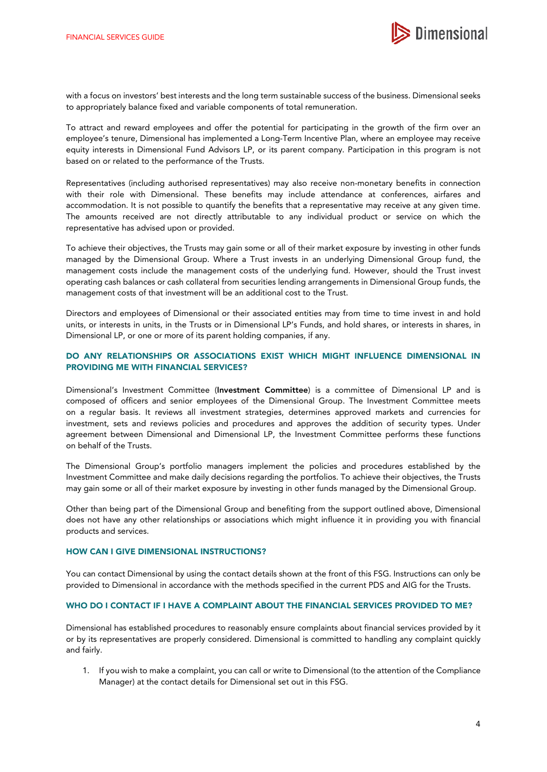

with a focus on investors' best interests and the long term sustainable success of the business. Dimensional seeks to appropriately balance fixed and variable components of total remuneration.

To attract and reward employees and offer the potential for participating in the growth of the firm over an employee's tenure, Dimensional has implemented a Long-Term Incentive Plan, where an employee may receive equity interests in Dimensional Fund Advisors LP, or its parent company. Participation in this program is not based on or related to the performance of the Trusts.

Representatives (including authorised representatives) may also receive non-monetary benefits in connection with their role with Dimensional. These benefits may include attendance at conferences, airfares and accommodation. It is not possible to quantify the benefits that a representative may receive at any given time. The amounts received are not directly attributable to any individual product or service on which the representative has advised upon or provided.

To achieve their objectives, the Trusts may gain some or all of their market exposure by investing in other funds managed by the Dimensional Group. Where a Trust invests in an underlying Dimensional Group fund, the management costs include the management costs of the underlying fund. However, should the Trust invest operating cash balances or cash collateral from securities lending arrangements in Dimensional Group funds, the management costs of that investment will be an additional cost to the Trust.

Directors and employees of Dimensional or their associated entities may from time to time invest in and hold units, or interests in units, in the Trusts or in Dimensional LP's Funds, and hold shares, or interests in shares, in Dimensional LP, or one or more of its parent holding companies, if any.

## DO ANY RELATIONSHIPS OR ASSOCIATIONS EXIST WHICH MIGHT INFLUENCE DIMENSIONAL IN PROVIDING ME WITH FINANCIAL SERVICES?

Dimensional's Investment Committee (Investment Committee) is a committee of Dimensional LP and is composed of officers and senior employees of the Dimensional Group. The Investment Committee meets on a regular basis. It reviews all investment strategies, determines approved markets and currencies for investment, sets and reviews policies and procedures and approves the addition of security types. Under agreement between Dimensional and Dimensional LP, the Investment Committee performs these functions on behalf of the Trusts.

The Dimensional Group's portfolio managers implement the policies and procedures established by the Investment Committee and make daily decisions regarding the portfolios. To achieve their objectives, the Trusts may gain some or all of their market exposure by investing in other funds managed by the Dimensional Group.

Other than being part of the Dimensional Group and benefiting from the support outlined above, Dimensional does not have any other relationships or associations which might influence it in providing you with financial products and services.

## HOW CAN I GIVE DIMENSIONAL INSTRUCTIONS?

You can contact Dimensional by using the contact details shown at the front of this FSG. Instructions can only be provided to Dimensional in accordance with the methods specified in the current PDS and AIG for the Trusts.

## WHO DO I CONTACT IF I HAVE A COMPLAINT ABOUT THE FINANCIAL SERVICES PROVIDED TO ME?

Dimensional has established procedures to reasonably ensure complaints about financial services provided by it or by its representatives are properly considered. Dimensional is committed to handling any complaint quickly and fairly.

1. If you wish to make a complaint, you can call or write to Dimensional (to the attention of the Compliance Manager) at the contact details for Dimensional set out in this FSG.